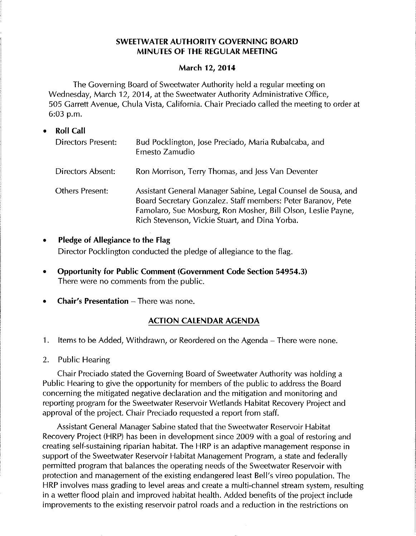## **SWEETWATER AUTHORITY GOVERNING BOARD MINUTES OF THE REGULAR MEETING**

#### **March 12, 2014**

The Governing Board of Sweetwater Authority held a regular meeting on Wednesday, March 12, 2014, at the Sweetwater Authority Administrative Office, 505 Garrett Avenue, Chula Vista, California. Chair Preciado called the meeting to order at 6:03 p.m.

- **Roll Call**  Directors Present: Directors Absent: Others Present: Bud Pocklington, jose Preciado, Maria Rubalcaba, and Ernesto Zamudio Ron Morrison, Terry Thomas, and jess Van Deventer Assistant General Manager Sabine, legal Counsel de Sousa, and Board Secretary Gonzalez. Staff members: Peter Baranov, Pete Famolaro, Sue Mosburg, Ron Mosher, Bill Olson, Leslie Payne, Rich Stevenson, Vickie Stuart, and Dina Yorba.
- **Pledge of Allegiance to the Flag**  Director Pocklington conducted the pledge of allegiance to the flag.
- **Opportunity for Public Comment (Government Code Section 54954.3)**  There were no comments from the public.
- **Chair's Presentation There was none.**

# **ACTION CALENDAR AGENDA**

- 1. Items to be Added, Withdrawn, or Reordered on the Agenda- There were none.
- 2. Public Hearing

Chair Preciado stated the Governing Board of Sweetwater Authority was holding a Public Hearing to give the opportunity for members of the public to address the Board concerning the mitigated negative declaration and the mitigation and monitoring and reporting program for the Sweetwater Reservoir Wetlands Habitat Recovery Project and approval of the project. Chair Preciado requested a report from staff.

Assistant General Manager Sabine stated that the Sweetwater Reservoir Habitat Recovery Project (HRP) has been in development since 2009 with a goal of restoring and creating self-sustaining riparian habitat. The HRP is an adaptive management response in support of the Sweetwater Reservoir Habitat Management Program, a state and federally permitted program that balances the operating needs of the Sweetwater Reservoir with protection and management of the existing endangered least Bell's vireo population. The HRP involves mass grading to level areas and create a multi-channel stream system, resulting in a wetter flood plain and improved habitat health. Added benefits of the project include improvements to the existing reservoir patrol roads and a reduction in the restrictions on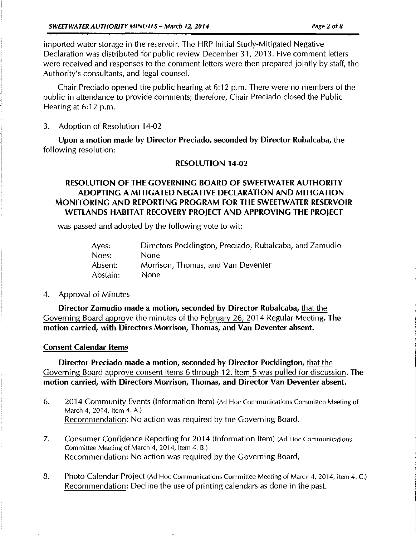imported water storage in the reservoir. The HRP Initial Study-Mitigated Negative Declaration was distributed for public review December 31, 2013. Five comment letters were received and responses to the comment letters were then prepared jointly by staff, the Authority's consultants, and legal counsel.

Chair Preciado opened the public hearing at 6:12 p.m. There were no members of the public in attendance to provide comments; therefore, Chair Preciado closed the Public Hearing at 6:12 p.m.

3. Adoption of Resolution 14-02

Upon a motion made by Director Preciado, seconded by Director Rubalcaba, the following resolution:

#### RESOLUTION 14-02

# RESOLUTION OF THE GOVERNING BOARD OF SWEETWATER AUTHORITY ADOPTING A MITIGATED NEGATIVE DECLARATION AND MITIGATION MONITORING AND REPORTING PROGRAM FOR THE SWEETWATER RESERVOIR WETLANDS HABITAT RECOVERY PROJECT AND APPROVING THE PROJECT

was passed and adopted by the following vote to wit:

| Ayes:    | Directors Pocklington, Preciado, Rubalcaba, and Zamudio |
|----------|---------------------------------------------------------|
| Noes:    | None.                                                   |
| Absent:  | Morrison, Thomas, and Van Deventer                      |
| Abstain: | None.                                                   |

#### 4. Approval of Minutes

Director Zamudio made a motion, seconded by Director Rubalcaba, that the Governing Board approve the minutes of the February 26, 2014 Regular Meeting. The motion carried, with Directors Morrison, Thomas, and Van Deventer absent.

#### Consent Calendar Items

Director Preciado made a motion, seconded by Director Pocklington, that the Governing Board approve consent items 6 through 12. Item 5 was pulled for discussion. The motion carried, with Directors Morrison, Thomas, and Director Van Deventer absent.

- 6. 2014 Community Events (Information ltern) (Ad Hoc Communications Committee Meeting of March 4, 2014, Item 4. A.) Recommendation: No action was required by the Governing Board.
- 7. Consumer Confidence Reporting for 2014 (Information Item) (Ad Hoc Communications Committee Meeting of March 4, 2014, Item 4. B.) Recommendation: No action was required by the Governing Board.
- 8. Photo Calendar Project (Ad Hoc Communications Committee Meeting of March 4, 2014, Item 4. C.) Recommendation: Decline the use of printing calendars as done in the past.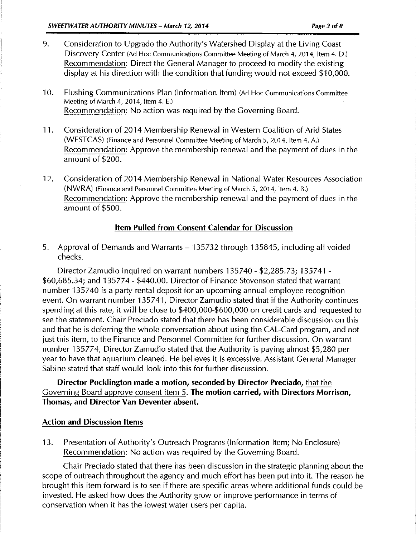- 9. Consideration to Upgrade the Authority's Watershed Display at the Living Coast Discovery Center (Ad Hoc Communications Committee Meeting of March 4, 2014, Item 4. D.) Recommendation: Direct the General Manager to proceed to modify the existing display at his direction with the condition that funding would not exceed \$10,000.
- 10. Flushing Communications Plan (Information Item) (Ad Hoc Communications Committee Meeting of March 4, 2014, Item 4. E.) Recommendation: No action was required by the Governing Board.
- 11. Consideration of 2014 Membership Renewal in Western Coalition of Arid States (WESTCAS) (Finance and Personnel Committee Meeting of March 5, 2014, Item 4. A.) Recommendation: Approve the membership renewal and the payment of dues in the amount of \$200.
- 12. Consideration of 2014 Membership Renewal in National Water Resources Association (NWRA) (Finance and Personnel Committee Meeting of March 5, 2014, Item 4. B.) Recommendation: Approve the membership renewal and the payment of dues in the amount of \$500.

# Item Pulled from Consent Calendar for Discussion

5. Approval of Demands and Warrants- 135732 through 135845, including all voided checks.

Director Zamudio inquired on warrant numbers 135740- \$2,285.73; 135741 - \$60,685.34; and 135774- \$440.00. Director of Finance Stevenson stated that warrant number 135740 is a party rental deposit for an upcoming annual employee recognition event. On warrant number 135741, Director Zamudio stated that if the Authority continues spending at this rate, it will be close to \$400,000-\$600,000 on credit cards and requested to see the statement. Chair Preciado stated that there has been considerable discussion on this and that he is deferring the whole conversation about using the CAL-Card program, and not just this item, to the Finance and Personnel Committee for further discussion. On warrant number 135774, Director Zamudio stated that the Authority is paying almost \$5,280 per year to have that aquarium cleaned. He believes it is excessive. Assistant General Manager Sabine stated that staff would look into this for further discussion.

Director Pocklington made a motion, seconded by Director Preciado, that the Governing Board approve consent item 5. The motion carried, with Directors Morrison, Thomas, and Director Van Deventer absent.

### Action and Discussion Items

13. Presentation of Authority's Outreach Programs (Information Item; No Enclosure) Recommendation: No action was required by the Governing Board.

Chair Preciado stated that there has been discussion in the strategic planning about the scope of outreach throughout the agency and much effort has been put into it. The reason he brought this item forward is to see if there are specific areas where additional funds could be invested. He asked how does the Authority grow or improve performance in terms of conservation when it has the lowest water users per capita.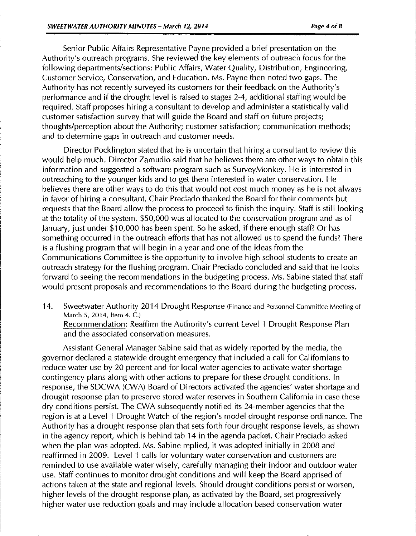Senior Public Affairs Representative Payne provided a brief presentation on the Authority's outreach programs. She reviewed the key elements of outreach focus for the following departments/sections: Public Affairs, Water Quality, Distribution, Engineering, Customer Service, Conservation, and Education. Ms. Payne then noted two gaps. The Authority has not recently surveyed its customers for their feedback on the Authority's performance and if the drought level is raised to stages 2-4, additional staffing would be required. Staff proposes hiring a consultant to develop and administer a statistically valid customer satisfaction survey that will guide the Board and staff on future projects; thoughts/perception about the Authority; customer satisfaction; communication methods; and to determine gaps in outreach and customer needs.

Director Pocklington stated that he is uncertain that hiring a consultant to review this would help much. Director Zamudio said that he believes there are other ways to obtain this information and suggested a software program such as SurveyMonkey. He is interested in outreaching to the younger kids and to get them interested in water conservation. He believes there are other ways to do this that would not cost much money as he is not always in favor of hiring a consultant. Chair Preciado thanked the Board for their comments but requests that the Board allow the process to proceed to finish the inquiry. Staff is still looking at the totality of the system. \$50,000 was allocated to the conservation program and as of january, just under \$10,000 has been spent. So he asked, if there enough staff? Or has something occurred in the outreach efforts that has not allowed us to spend the funds? There is a flushing program that will begin in a year and one of the ideas from the Communications Committee is the opportunity to involve high school students to create an outreach strategy for the flushing program. Chair Preciado concluded and said that he looks forward to seeing the recommendations in the budgeting process. Ms. Sabine stated that staff would present proposals and recommendations to the Board during the budgeting process.

14. Sweetwater Authority 2014 Drought Response (Finance and Personnel Committee Meeting of March 5, 2014, Item 4. C.) Recommendation: Reaffirm the Authority's current Level 1 Drought Response Plan

and the associated conservation measures.

Assistant General Manager Sabine said that as widely reported by the media, the governor declared a statewide drought emergency that included a call for Californians to reduce water use by 20 percent and for local water agencies to activate water shortage contingency plans along with other actions to prepare for these drought conditions. In response, the SDCWA (CWA) Board of Directors activated the agencies' water shortage and drought response plan to preserve stored water reserves in Southern California in case these dry conditions persist. The CWA subsequently notified its 24-member agencies that the region is at a Level 1 Drought Watch of the region's model drought response ordinance. The Authority has a drought response plan that sets forth four drought response levels, as shown in the agency report, which is behind tab 14 in the agenda packet. Chair Preciado asked when the plan was adopted. Ms. Sabine replied, it was adopted initially in 2008 and reaffirmed in 2009. Level 1 calls for voluntary water conservation and customers are reminded to use available water wisely, carefully managing their indoor and outdoor water use. Staff continues to monitor drought conditions and will keep the Board apprised of actions taken at the state and regional levels. Should drought conditions persist or worsen, higher levels of the drought response plan, as activated by the Board, set progressively higher water use reduction goals and may include allocation based conservation water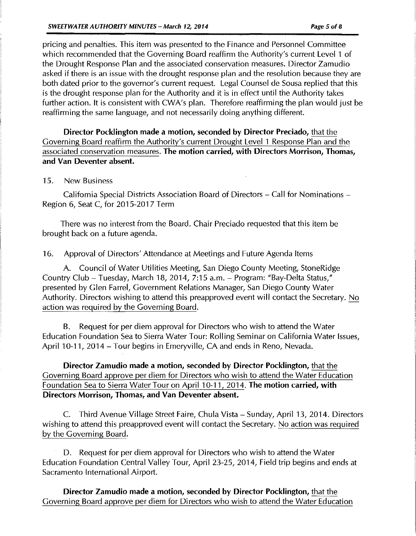pricing and penalties. This item was presented to the Finance and Personnel Committee which recommended that the Governing Board reaffirm the Authority's current Level 1 of the Drought Response Plan and the associated conservation measures. Director Zamudio asked if there is an issue with the drought response plan and the resolution because they are both dated prior to the governor's current request. Legal Counsel de Sousa replied that this is the drought response plan for the Authority and it is in effect until the Authority takes further action. It is consistent with CWA's plan. Therefore reaffirming the plan would just be reaffirming the same language, and not necessarily doing anything different.

Director Pocklington made a motion, seconded by Director Preciado, that the Governing Board reaffirm the Authority's current Drought Level 1 Response Plan and the associated conservation measures. The motion carried, with Directors Morrison, Thomas, and Van Deventer absent.

#### 15. New Business

California Special Districts Association Board of Directors- Call for Nominations-Region 6, Seat C, for 2015-2017 Term

There was no interest from the Board. Chair Preciado requested that this item be brought back on a future agenda.

16. Approval of Directors' Attendance at Meetings and Future Agenda Items

A. Council of Water Utilities Meeting, San Diego County Meeting, StoneRidge Country Club- Tuesday, March 18, 2014, 7:15a.m.- Program: "Bay-Delta Status," presented by Glen Farrel, Government Relations Manager, San Diego County Water Authority. Directors wishing to attend this preapproved event will contact the Secretary. No action was required by the Governing Board.

B. Request for per diem approval for Directors who wish to attend the Water Education Foundation Sea to Sierra Water Tour: Rolling Seminar on California Water Issues, April 10-11, 2014 - Tour begins in Emeryville, CA and ends in Reno, Nevada.

Director Zamudio made a motion, seconded by Director Pocklington, that the Governing Board approve per diem for Directors who wish to attend the Water Education Foundation Sea to Sierra Water Tour on April 10-11, 2014. The motion carried, with Directors Morrison, Thomas, and Van Deventer absent.

C. Third Avenue Village Street Faire, Chula Vista- Sunday, April 13, 2014. Directors wishing to attend this preapproved event will contact the Secretary. No action was required by the Governing Board.

D. Request for per diem approval for Directors who wish to attend the Water Education Foundation Central Valley Tour, April 23-25, 2014, Field trip begins and ends at Sacramento International Airport.

Director Zamudio made a motion, seconded by Director Pocklington, that the Governing Board approve per diem for Directors who wish to attend the Water Education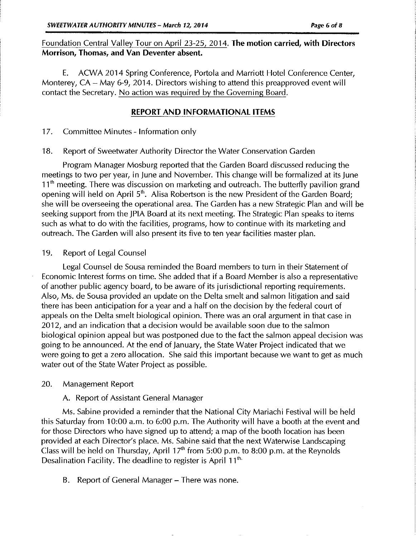# Foundation Central Valley Tour on April 23-25, 2014. The motion carried, with Directors Morrison, Thomas, and Van Deventer absent.

E. ACWA 2014 Spring Conference, Portola and Marriott Hotel Conference Center, Monterey,  $CA - May 6-9$ , 2014. Directors wishing to attend this preapproved event will contact the Secretary. No action was required by the Governing Board.

### REPORT AND INFORMATIONAL ITEMS

17. Committee Minutes- Information only

18. Report of Sweetwater Authority Director the Water Conservation Garden

Program Manager Mosburg reported that the Garden Board discussed reducing the meetings to two per year, in june and November. This change will be formalized at its june  $11<sup>th</sup>$  meeting. There was discussion on marketing and outreach. The butterfly pavilion grand opening will held on April 5<sup>th</sup>. Alisa Robertson is the new President of the Garden Board; she will be overseeing the operational area. The Garden has a new Strategic Plan and will be seeking support from the JPIA Board at its next meeting. The Strategic Plan speaks to items such as what to do with the facilities, programs, how to continue with its marketing and outreach. The Garden will also present its five to ten year facilities master plan.

## 19. Report of Legal Counsel

Legal Counsel de Sousa reminded the Board members to turn in their Statement of Economic Interest forms on time. She added that if a Board Member is also a representative of another public agency board, to be aware of its jurisdictional reporting requirements. Also, Ms. de Sousa provided an update on the Delta smelt and salmon litigation and said there has been anticipation for a year and a half on the decision by the federal court of appeals on the Delta smelt biological opinion. There was an oral argument in that case in 2012, and an indication that a decision would be available soon due to the salmon biological opinion appeal but was postponed due to the fact the salmon appeal decision was going to be announced. At the end of january, the State Water Project indicated that we were going to get a zero allocation. She said this important because we want to get as much water out of the State Water Project as possible.

# 20. Management Report

# A. Report of Assistant General Manager

Ms. Sabine provided a reminder that the National City Mariachi Festival will be held this Saturday from 10:00 a.m. to 6:00 p.m. The Authority will have a booth at the event and for those Directors who have signed up to attend; a map of the booth location has been provided at each Director's place. Ms. Sabine said that the next Waterwise Landscaping Class will be held on Thursday, April  $17<sup>th</sup>$  from 5:00 p.m. to 8:00 p.m. at the Reynolds Desalination Facility. The deadline to register is April  $11<sup>th</sup>$ .

B. Report of General Manager- There was none.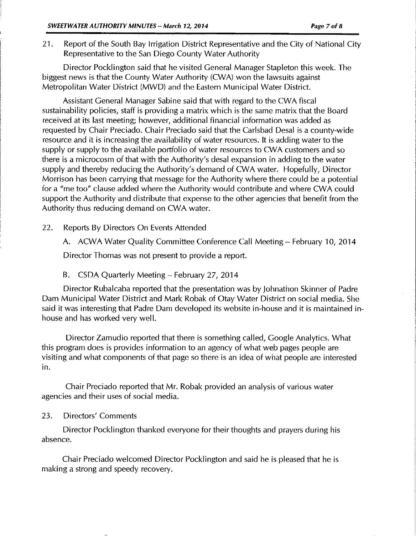21. Report of the South Bay Irrigation District Representative and the City of National City Representative to the San Diego County Water Authority

Director Pocklington said that he visited General Manager Stapleton this week. The biggest news is that the County Water Authority (CWA) won the lawsuits against Metropolitan Water District (MWD) and the Eastern Municipal Water District.

Assistant General Manager Sabine said that with regard to the CWA fiscal sustainability policies, staff is providing a matrix which is the same matrix that the Board received at its last meeting; however, additional financial information was added as requested by Chair Preciado. Chair Preciado said that the Carlsbad Desai is a county-wide resource and it is increasing the availability of water resources. It is adding water to the supply or supply to the available portfolio of water resources to CWA customers and so there is a microcosm of that with the Authority's desal expansion in adding to the water supply and thereby reducing the Authority's demand of CWA water. Hopefully, Director Morrison has been carrying that message for the Authority where there could be a potential for a "me too" clause added where the Authority would contribute and where CWA could support the Authority and distribute that expense to the other agencies that benefit from the Authority thus reducing demand on CWA water.

22. Reports By Directors On Events Attended

A. ACWA Water Quality Committee Conference Call Meeting- February 10, 2014

Director Thomas was not present to provide a report.

### B. CSDA Quarterly Meeting- February 27, 2014

Director Rubalcaba reported that the presentation was by johnathon Skinner of Padre Dam Municipal Water District and Mark Robak of Otay Water District on social media. She said it was interesting that Padre Dam developed its website in-house and it is maintained inhouse and has worked very well.

Director Zamudio reported that there is something called, Google Analytics. What this program does is provides information to an agency of what web pages people are visiting and what components of that page so there is an idea of what people are interested in.

Chair Preciado reported that Mr. Robak provided an analysis of various water agencies and their uses of social media.

# 23. Directors' Comments

Director Pocklington thanked everyone for their thoughts and prayers during his absence.

Chair Preciado welcomed Director Pocklington and said he is pleased that he is making a strong and speedy recovery.